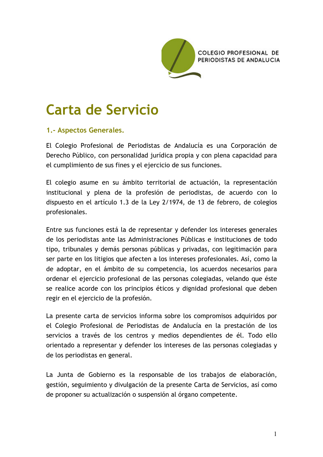

# Carta de Servicio

## 1.- Aspectos Generales.

El Colegio Profesional de Periodistas de Andalucía es una Corporación de Derecho Público, con personalidad jurídica propia y con plena capacidad para el cumplimiento de sus fines y el ejercicio de sus funciones.

El colegio asume en su ámbito territorial de actuación, la representación institucional y plena de la profesión de periodistas, de acuerdo con lo dispuesto en el artículo 1.3 de la Ley 2/1974, de 13 de febrero, de colegios profesionales.

Entre sus funciones está la de representar y defender los intereses generales de los periodistas ante las Administraciones Públicas e instituciones de todo tipo, tribunales y demás personas públicas y privadas, con legitimación para ser parte en los litigios que afecten a los intereses profesionales. Así, como la de adoptar, en el ámbito de su competencia, los acuerdos necesarios para ordenar el ejercicio profesional de las personas colegiadas, velando que éste se realice acorde con los principios éticos y dignidad profesional que deben regir en el ejercicio de la profesión.

La presente carta de servicios informa sobre los compromisos adquiridos por el Colegio Profesional de Periodistas de Andalucía en la prestación de los servicios a través de los centros y medios dependientes de él. Todo ello orientado a representar y defender los intereses de las personas colegiadas y de los periodistas en general.

La Junta de Gobierno es la responsable de los trabajos de elaboración, gestión, seguimiento y divulgación de la presente Carta de Servicios, así como de proponer su actualización o suspensión al órgano competente.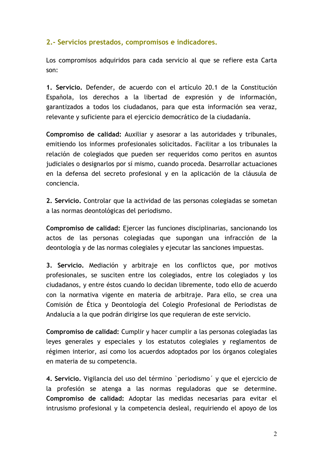## 2.- Servicios prestados, compromisos e indicadores.

Los compromisos adquiridos para cada servicio al que se refiere esta Carta son:

1. Servicio. Defender, de acuerdo con el artículo 20.1 de la Constitución Española, los derechos a la libertad de expresión y de información, garantizados a todos los ciudadanos, para que esta información sea veraz, relevante y suficiente para el ejercicio democrático de la ciudadanía.

Compromiso de calidad: Auxiliar y asesorar a las autoridades y tribunales, emitiendo los informes profesionales solicitados. Facilitar a los tribunales la relación de colegiados que pueden ser requeridos como peritos en asuntos judiciales o designarlos por sí mismo, cuando proceda. Desarrollar actuaciones en la defensa del secreto profesional y en la aplicación de la cláusula de conciencia

2. Servicio. Controlar que la actividad de las personas colegiadas se sometan a las normas deontológicas del periodismo.

Compromiso de calidad: Ejercer las funciones disciplinarias, sancionando los actos de las personas colegiadas que supongan una infracción de la deontología y de las normas colegiales y ejecutar las sanciones impuestas.

3. Servicio. Mediación y arbitraje en los conflictos que, por motivos profesionales, se susciten entre los colegiados, entre los colegiados y los ciudadanos, y entre éstos cuando lo decidan libremente, todo ello de acuerdo con la normativa vigente en materia de arbitraje. Para ello, se crea una Comisión de Ética y Deontología del Colegio Profesional de Periodistas de Andalucía a la que podrán dirigirse los que requieran de este servicio.

Compromiso de calidad: Cumplir y hacer cumplir a las personas colegiadas las leves generales y especiales y los estatutos colegiales y reglamentos de régimen interior, así como los acuerdos adoptados por los órganos colegiales en materia de su competencia.

4. Servicio. Vigilancia del uso del término `periodismo´ y que el ejercicio de la profesión se atenga a las normas reguladoras que se determine. Compromiso de calidad: Adoptar las medidas necesarias para evitar el intrusismo profesional y la competencia desleal, requiriendo el apoyo de los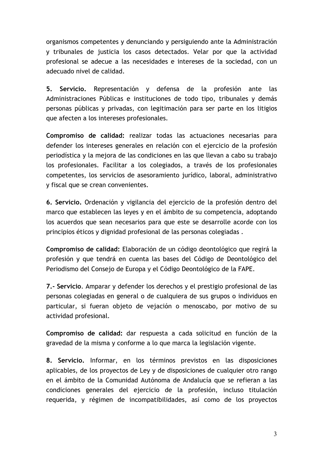organismos competentes y denunciando y persiguiendo ante la Administración y tribunales de justicia los casos detectados. Velar por que la actividad profesional se adecue a las necesidades e intereses de la sociedad, con un adecuado nivel de calidad.

Servicio. Representación y defensa de la profesión  $5<sub>1</sub>$ ante las. Administraciones Públicas e instituciones de todo tipo, tribunales y demás personas públicas y privadas, con legitimación para ser parte en los litigios que afecten a los intereses profesionales.

Compromiso de calidad: realizar todas las actuaciones necesarias para defender los intereses generales en relación con el ejercicio de la profesión periodística y la mejora de las condiciones en las que llevan a cabo su trabajo los profesionales. Facilitar a los colegiados, a través de los profesionales competentes, los servicios de asesoramiento jurídico, laboral, administrativo y fiscal que se crean convenientes.

6. Servicio. Ordenación y vigilancia del ejercicio de la profesión dentro del marco que establecen las leyes y en el ámbito de su competencia, adoptando los acuerdos que sean necesarios para que este se desarrolle acorde con los principios éticos y dignidad profesional de las personas colegiadas.

Compromiso de calidad: Elaboración de un código deontológico que regirá la profesión y que tendrá en cuenta las bases del Código de Deontológico del Periodismo del Consejo de Europa y el Código Deontológico de la FAPE.

7.- Servicio. Amparar y defender los derechos y el prestigio profesional de las personas colegiadas en general o de cualquiera de sus grupos o individuos en particular, si fueran objeto de vejación o menoscabo, por motivo de su actividad profesional.

Compromiso de calidad: dar respuesta a cada solicitud en función de la gravedad de la misma y conforme a lo que marca la legislación vigente.

8. Servicio. Informar, en los términos previstos en las disposiciones aplicables, de los proyectos de Ley y de disposiciones de cualquier otro rango en el ámbito de la Comunidad Autónoma de Andalucía que se refieran a las condiciones generales del ejercicio de la profesión, incluso titulación requerida, y régimen de incompatibilidades, así como de los proyectos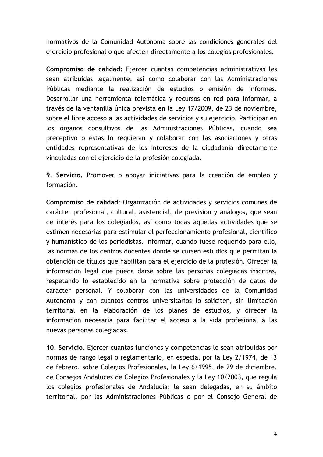normativos de la Comunidad Autónoma sobre las condiciones generales del ejercicio profesional o que afecten directamente a los colegios profesionales.

Compromiso de calidad: Ejercer cuantas competencias administrativas les sean atribuidas legalmente, así como colaborar con las Administraciones Públicas mediante la realización de estudios o emisión de informes. Desarrollar una herramienta telemática y recursos en red para informar, a través de la ventanilla única prevista en la Ley 17/2009, de 23 de noviembre, sobre el libre acceso a las actividades de servicios y su ejercicio. Participar en los órganos consultivos de las Administraciones Públicas, cuando sea preceptivo o éstas lo requieran y colaborar con las asociaciones y otras entidades representativas de los intereses de la ciudadanía directamente vinculadas con el ejercicio de la profesión colegiada.

9. Servicio. Promover o apovar iniciativas para la creación de empleo y formación.

Compromiso de calidad: Organización de actividades y servicios comunes de carácter profesional, cultural, asistencial, de previsión y análogos, que sean de interés para los colegiados, así como todas aquellas actividades que se estimen necesarias para estimular el perfeccionamiento profesional, científico y humanístico de los periodistas. Informar, cuando fuese requerido para ello, las normas de los centros docentes donde se cursen estudios que permitan la obtención de títulos que habilitan para el ejercicio de la profesión. Ofrecer la información legal que pueda darse sobre las personas colegiadas inscritas, respetando lo establecido en la normativa sobre protección de datos de carácter personal. Y colaborar con las universidades de la Comunidad Autónoma y con cuantos centros universitarios lo soliciten, sin limitación territorial en la elaboración de los planes de estudios, y ofrecer la información necesaria para facilitar el acceso a la vida profesional a las nuevas personas colegiadas.

10. Servicio. Ejercer cuantas funciones y competencias le sean atribuidas por normas de rango legal o reglamentario, en especial por la Ley 2/1974, de 13 de febrero, sobre Colegios Profesionales, la Ley 6/1995, de 29 de diciembre, de Consejos Andaluces de Colegios Profesionales y la Ley 10/2003, que regula los colegios profesionales de Andalucía; le sean delegadas, en su ámbito territorial, por las Administraciones Públicas o por el Consejo General de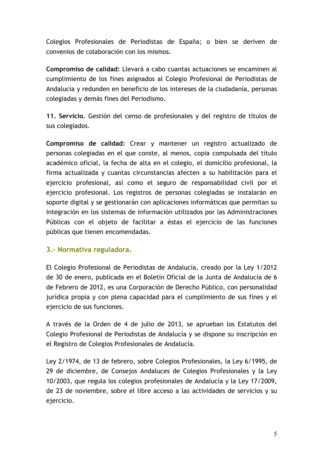Colegios Profesionales de Periodistas de España; o bien se deriven de convenios de colaboración con los mismos.

Compromiso de calidad: Llevará a cabo cuantas actuaciones se encaminen al cumplimiento de los fines asignados al Colegio Profesional de Periodistas de Andalucía y redunden en beneficio de los intereses de la ciudadanía, personas colegiadas y demás fines del Periodismo.

11. Servicio. Gestión del censo de profesionales y del registro de títulos de sus colegiados.

Compromiso de calidad: Crear y mantener un registro actualizado de personas colegiadas en el que conste, al menos, copia compulsada del título académico oficial, la fecha de alta en el colegio, el domicilio profesional, la firma actualizada y cuantas circunstancias afecten a su habilitación para el ejercicio profesional, así como el seguro de responsabilidad civil por el ejercicio profesional. Los registros de personas colegiadas se instalarán en soporte digital y se gestionarán con aplicaciones informáticas que permitan su integración en los sistemas de información utilizados por las Administraciones Públicas con el objeto de facilitar a éstas el ejercicio de las funciones públicas que tienen encomendadas.

## 3.- Normativa reguladora.

El Colegio Profesional de Periodistas de Andalucía, creado por la Ley 1/2012 de 30 de enero, publicada en el Boletín Oficial de la Junta de Andalucía de 6 de Febrero de 2012, es una Corporación de Derecho Público, con personalidad jurídica propia y con plena capacidad para el cumplimiento de sus fines y el ejercicio de sus funciones.

A través de la Orden de 4 de julio de 2013, se aprueban los Estatutos del Colegio Profesional de Periodistas de Andalucía y se dispone su inscripción en el Registro de Colegios Profesionales de Andalucía.

Ley 2/1974, de 13 de febrero, sobre Colegios Profesionales, la Ley 6/1995, de 29 de diciembre, de Consejos Andaluces de Colegios Profesionales y la Ley 10/2003, que regula los colegios profesionales de Andalucía y la Ley 17/2009, de 23 de noviembre, sobre el libre acceso a las actividades de servicios y su ejercicio.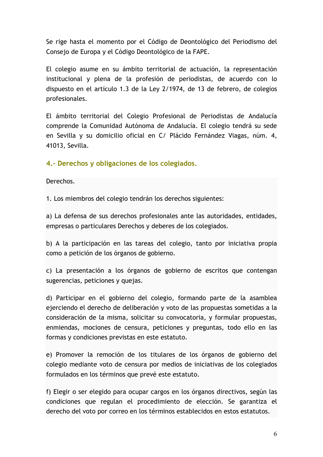Se rige hasta el momento por el Código de Deontológico del Periodismo del Consejo de Europa y el Código Deontológico de la FAPE.

El colegio asume en su ámbito territorial de actuación, la representación institucional y plena de la profesión de periodistas, de acuerdo con lo dispuesto en el artículo 1.3 de la Ley 2/1974, de 13 de febrero, de colegios profesionales.

El ámbito territorial del Colegio Profesional de Periodistas de Andalucía comprende la Comunidad Autónoma de Andalucía. El colegio tendrá su sede en Sevilla y su domicilio oficial en C/ Plácido Fernández Viagas, núm. 4, 41013, Sevilla.

## 4.- Derechos y obligaciones de los colegiados.

Derechos.

1. Los miembros del colegio tendrán los derechos siguientes:

a) La defensa de sus derechos profesionales ante las autoridades, entidades, empresas o particulares Derechos y deberes de los colegiados.

b) A la participación en las tareas del colegio, tanto por iniciativa propia como a petición de los órganos de gobierno.

c) La presentación a los órganos de gobierno de escritos que contengan sugerencias, peticiones y quejas.

d) Participar en el gobierno del colegio, formando parte de la asamblea ejerciendo el derecho de deliberación y voto de las propuestas sometidas a la consideración de la misma, solicitar su convocatoria, y formular propuestas, enmiendas, mociones de censura, peticiones y preguntas, todo ello en las formas y condiciones previstas en este estatuto.

e) Promover la remoción de los titulares de los órganos de gobierno del colegio mediante voto de censura por medios de iniciativas de los colegiados formulados en los términos que prevé este estatuto.

f) Elegir o ser elegido para ocupar cargos en los órganos directivos, según las condiciones que regulan el procedimiento de elección. Se garantiza el derecho del voto por correo en los términos establecidos en estos estatutos.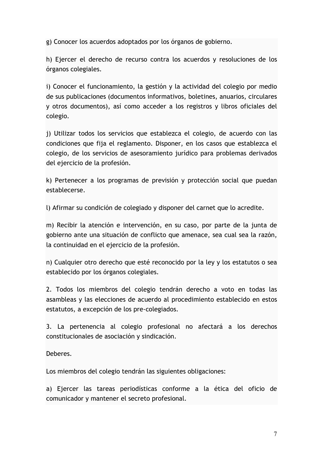g) Conocer los acuerdos adoptados por los órganos de gobierno.

h) Ejercer el derecho de recurso contra los acuerdos y resoluciones de los órganos colegiales.

i) Conocer el funcionamiento, la gestión y la actividad del colegio por medio de sus publicaciones (documentos informativos, boletines, anuarios, circulares y otros documentos), así como acceder a los registros y libros oficiales del colegio.

j) Utilizar todos los servicios que establezca el colegio, de acuerdo con las condiciones que fija el reglamento. Disponer, en los casos que establezca el colegio, de los servicios de asesoramiento jurídico para problemas derivados del ejercicio de la profesión.

k) Pertenecer a los programas de previsión y protección social que puedan establecerse.

l) Afirmar su condición de colegiado y disponer del carnet que lo acredite.

m) Recibir la atención e intervención, en su caso, por parte de la junta de gobierno ante una situación de conflicto que amenace, sea cual sea la razón, la continuidad en el ejercicio de la profesión.

n) Cualquier otro derecho que esté reconocido por la ley y los estatutos o sea establecido por los órganos colegiales.

2. Todos los miembros del colegio tendrán derecho a voto en todas las asambleas y las elecciones de acuerdo al procedimiento establecido en estos estatutos, a excepción de los pre-colegiados.

3. La pertenencia al colegio profesional no afectará a los derechos constitucionales de asociación y sindicación.

Deberes.

Los miembros del colegio tendrán las siguientes obligaciones:

a) Ejercer las tareas periodísticas conforme a la ética del oficio de comunicador y mantener el secreto profesional.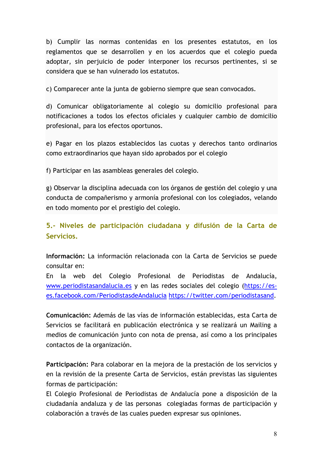b) Cumplir las normas contenidas en los presentes estatutos, en los reglamentos que se desarrollen y en los acuerdos que el colegio pueda adoptar, sin perjuicio de poder interponer los recursos pertinentes, si se considera que se han vulnerado los estatutos.

c) Comparecer ante la junta de gobierno siempre que sean convocados.

d) Comunicar obligatoriamente al colegio su domicilio profesional para notificaciones a todos los efectos oficiales y cualquier cambio de domicilio profesional, para los efectos oportunos.

e) Pagar en los plazos establecidos las cuotas y derechos tanto ordinarios como extraordinarios que hayan sido aprobados por el colegio

f) Participar en las asambleas generales del colegio.

g) Observar la disciplina adecuada con los órganos de gestión del colegio y una conducta de compañerismo y armonía profesional con los colegiados, velando en todo momento por el prestigio del colegio.

5.- Niveles de participación ciudadana y difusión de la Carta de Servicios.

Información: La información relacionada con la Carta de Servicios se puede consultar en:

En la web del Colegio Profesional de Periodistas de Andalucía, www.periodistasandalucia.es y en las redes sociales del colegio (https://eses.facebook.com/PeriodistasdeAndalucia https://twitter.com/periodistasand.

Comunicación: Además de las vías de información establecidas, esta Carta de Servicios se facilitará en publicación electrónica y se realizará un Mailing a medios de comunicación junto con nota de prensa, así como a los principales contactos de la organización.

Participación: Para colaborar en la mejora de la prestación de los servicios y en la revisión de la presente Carta de Servicios, están previstas las siguientes formas de participación:

El Colegio Profesional de Periodistas de Andalucía pone a disposición de la ciudadanía andaluza y de las personas colegiadas formas de participación y colaboración a través de las cuales pueden expresar sus opiniones.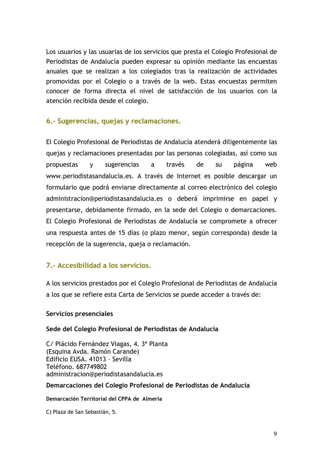Los usuarios y las usuarias de los servicios que presta el Colegio Profesional de Periodistas de Andalucía pueden expresar su opinión mediante las encuestas anuales que se realizan a los colegiados tras la realización de actividades promovidas por el Colegio o a través de la web. Estas encuestas permiten conocer de forma directa el nivel de satisfacción de los usuarios con la atención recibida desde el colegio.

## 6.- Sugerencias, quejas y reclamaciones.

El Colegio Profesional de Periodistas de Andalucía atenderá diligentemente las quejas y reclamaciones presentadas por las personas colegiadas, así como sus propuestas **V** sugerencias  $\mathsf{a}$ través de su página weh www.periodistasandalucia.es. A través de Internet es posible descargar un formulario que podrá enviarse directamente al correo electrónico del colegio administracion@periodistasandalucia.es o deberá imprimirse en papel y presentarse, debidamente firmado, en la sede del Colegio o demarcaciones. El Colegio Profesional de Periodistas de Andalucía se compromete a ofrecer una respuesta antes de 15 días (o plazo menor, según corresponda) desde la recepción de la sugerencia, queja o reclamación.

### 7.- Accesibilidad a los servicios.

A los servicios prestados por el Colegio Profesional de Periodistas de Andalucía a los que se refiere esta Carta de Servicios se puede acceder a través de:

#### Servicios presenciales

#### Sede del Colegio Profesional de Periodistas de Andalucía

C/ Plácido Fernández Viagas, 4. 3ª Planta (Esquina Avda. Ramón Carande) Edificio EUSA. 41013 - Sevilla Teléfono, 687749802 administracion@periodistasandalucia.es

#### Demarcaciones del Colegio Profesional de Periodistas de Andalucía

#### Demarcación Territorial del CPPA de Almería

C) Plaza de San Sebastián, 5.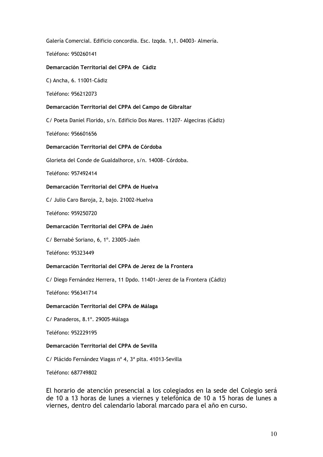Galería Comercial. Edificio concordia. Esc. Izgda. 1,1. 04003- Almería.

Teléfono: 950260141

#### Demarcación Territorial del CPPA de Cádiz

C) Ancha, 6. 11001-Cádiz

Teléfono: 956212073

#### Demarcación Territorial del CPPA del Campo de Gibraltar

C/ Poeta Daniel Florido, s/n. Edificio Dos Mares. 11207- Algeciras (Cádiz)

Teléfono: 956601656

#### Demarcación Territorial del CPPA de Córdoba

Glorieta del Conde de Gualdalhorce, s/n. 14008- Córdoba.

Teléfono: 957492414

#### Demarcación Territorial del CPPA de Huelva

C/ Julio Caro Baroja, 2, bajo. 21002-Huelva

Teléfono: 959250720

#### Demarcación Territorial del CPPA de Jaén

C/ Bernabé Soriano, 6, 1°. 23005-Jaén

Teléfono: 95323449

#### Demarcación Territorial del CPPA de Jerez de la Frontera

C/ Diego Fernández Herrera, 11 Dpdo. 11401-Jerez de la Frontera (Cádiz)

Teléfono: 956341714

#### Demarcación Territorial del CPPA de Málaga

C/ Panaderos, 8.1°. 29005-Málaga

Teléfono: 952229195

#### Demarcación Territorial del CPPA de Sevilla

C/ Plácido Fernández Viagas nº 4, 3ª plta. 41013-Sevilla

Teléfono: 687749802

El horario de atención presencial a los colegiados en la sede del Colegio será de 10 a 13 horas de lunes a viernes y telefónica de 10 a 15 horas de lunes a viernes, dentro del calendario laboral marcado para el año en curso.